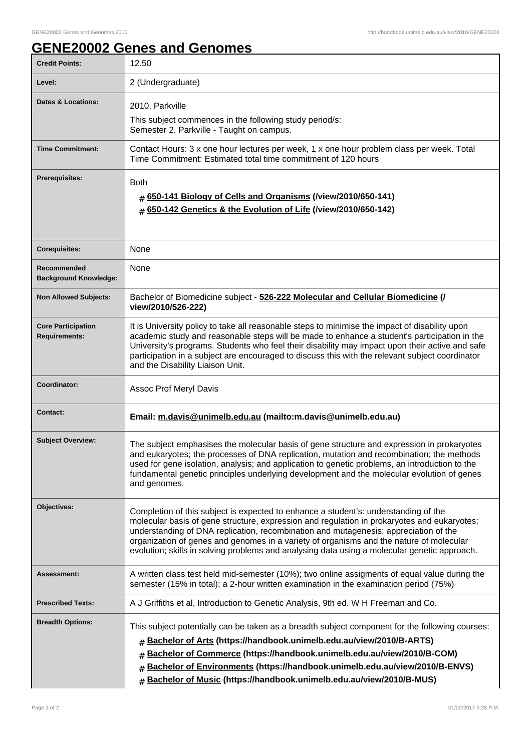## **GENE20002 Genes and Genomes**

| <b>Credit Points:</b>                             | 12.50                                                                                                                                                                                                                                                                                                                                                                                                                                                                 |
|---------------------------------------------------|-----------------------------------------------------------------------------------------------------------------------------------------------------------------------------------------------------------------------------------------------------------------------------------------------------------------------------------------------------------------------------------------------------------------------------------------------------------------------|
| Level:                                            | 2 (Undergraduate)                                                                                                                                                                                                                                                                                                                                                                                                                                                     |
| <b>Dates &amp; Locations:</b>                     | 2010, Parkville                                                                                                                                                                                                                                                                                                                                                                                                                                                       |
|                                                   | This subject commences in the following study period/s:<br>Semester 2, Parkville - Taught on campus.                                                                                                                                                                                                                                                                                                                                                                  |
| <b>Time Commitment:</b>                           | Contact Hours: 3 x one hour lectures per week, 1 x one hour problem class per week. Total<br>Time Commitment: Estimated total time commitment of 120 hours                                                                                                                                                                                                                                                                                                            |
| <b>Prerequisites:</b>                             | <b>Both</b><br>650-141 Biology of Cells and Organisms (/view/2010/650-141)<br>650-142 Genetics & the Evolution of Life (/view/2010/650-142)<br>$\pm$                                                                                                                                                                                                                                                                                                                  |
| <b>Corequisites:</b>                              | None                                                                                                                                                                                                                                                                                                                                                                                                                                                                  |
| Recommended<br><b>Background Knowledge:</b>       | None                                                                                                                                                                                                                                                                                                                                                                                                                                                                  |
| <b>Non Allowed Subjects:</b>                      | Bachelor of Biomedicine subject - 526-222 Molecular and Cellular Biomedicine (/<br>view/2010/526-222)                                                                                                                                                                                                                                                                                                                                                                 |
| <b>Core Participation</b><br><b>Requirements:</b> | It is University policy to take all reasonable steps to minimise the impact of disability upon<br>academic study and reasonable steps will be made to enhance a student's participation in the<br>University's programs. Students who feel their disability may impact upon their active and safe<br>participation in a subject are encouraged to discuss this with the relevant subject coordinator<br>and the Disability Liaison Unit.                              |
| Coordinator:                                      | Assoc Prof Meryl Davis                                                                                                                                                                                                                                                                                                                                                                                                                                                |
| <b>Contact:</b>                                   | Email: m.davis@unimelb.edu.au (mailto:m.davis@unimelb.edu.au)                                                                                                                                                                                                                                                                                                                                                                                                         |
| <b>Subject Overview:</b>                          | The subject emphasises the molecular basis of gene structure and expression in prokaryotes<br>and eukaryotes; the processes of DNA replication, mutation and recombination; the methods<br>used for gene isolation, analysis; and application to genetic problems, an introduction to the<br>fundamental genetic principles underlying development and the molecular evolution of genes<br>and genomes.                                                               |
| Objectives:                                       | Completion of this subject is expected to enhance a student's: understanding of the<br>molecular basis of gene structure, expression and regulation in prokaryotes and eukaryotes;<br>understanding of DNA replication, recombination and mutagenesis; appreciation of the<br>organization of genes and genomes in a variety of organisms and the nature of molecular<br>evolution; skills in solving problems and analysing data using a molecular genetic approach. |
| <b>Assessment:</b>                                | A written class test held mid-semester (10%); two online assigments of equal value during the<br>semester (15% in total); a 2-hour written examination in the examination period (75%)                                                                                                                                                                                                                                                                                |
| <b>Prescribed Texts:</b>                          | A J Griffiths et al, Introduction to Genetic Analysis, 9th ed. W H Freeman and Co.                                                                                                                                                                                                                                                                                                                                                                                    |
| <b>Breadth Options:</b>                           | This subject potentially can be taken as a breadth subject component for the following courses:<br>Bachelor of Arts (https://handbook.unimelb.edu.au/view/2010/B-ARTS)<br>#<br>Bachelor of Commerce (https://handbook.unimelb.edu.au/view/2010/B-COM)<br>#<br>Bachelor of Environments (https://handbook.unimelb.edu.au/view/2010/B-ENVS)<br>Bachelor of Music (https://handbook.unimelb.edu.au/view/2010/B-MUS)<br>$\#$                                              |